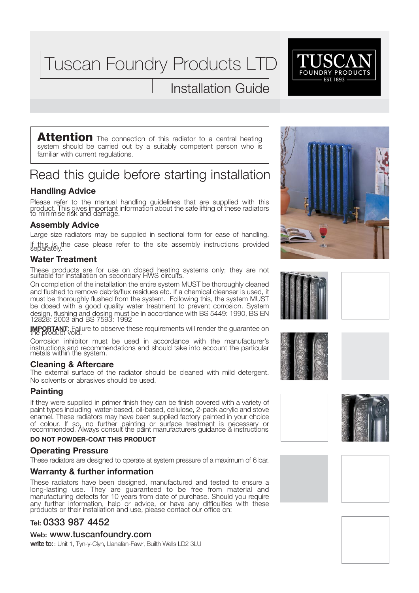Tuscan Foundry Products LTD

# Installation Guide



**Attention** The connection of this radiator to a central heating system should be carried out by a suitably competent person who is familiar with current regulations.

# Read this guide before starting installation

## **Handling Advice**

Please refer to the manual handling guidelines that are supplied with this product. This gives important information about the safe lifting of these radiators to minimise risk and damage.

### **Assembly Advice**

Large size radiators may be supplied in sectional form for ease of handling. If this is, the case please refer to the site assembly instructions provided separately.

## **Water Treatment**

These products are for use on closed heating systems only; they are not suitable for installation on secondary HWS circuits.

On completion of the installation the entire system MUST be thoroughly cleaned and flushed to remove debris/flux residues etc. If a chemical cleanser is used, it must be thoroughly flushed from the system. Following this, the system MUST be dosed with a good quality water treatment to prevent corrosion. System design, flushing and dosing must be in accordance with BS 5449: 1990, BS EN 12828: 2003 and BS 7593: 1992

**IMPORTANT:** Failure to observe these requirements will render the guarantee on<br>the product void.

Corrosion inhibitor must be used in accordance with the manufacturer's instructions and recommendations and should take into account the particular metals within the system.

### **Cleaning & Aftercare**

The external surface of the radiator should be cleaned with mild detergent. No solvents or abrasives should be used.

### **Painting**

If they were supplied in primer finish they can be finish covered with a variety of paint types including water-based, oil-based, cellulose, 2-pack acrylic and stove enamel. These radiators may have been supplied factory painted in your choice of colour. If so, no further painting or surface treatment is necessary or recommended. Always consult the paint manufacturers guidance & instructions

#### **DO NOT POWDER-COAT THIS PRODUCT**

### **Operating Pressure**

These radiators are designed to operate at system pressure of a maximum of 6 bar.

### **Warranty & further information**

These radiators have been designed, manufactured and tested to ensure a long-lasting use. They are guaranteed to be free from material and manufacturing defects for 10 years from date of purchase. Should you require any further information, help or advice, or have any difficulties with these products or their installation and use, please contact our office on:

## **Tel:** 0333 987 4452

**Web:** <www.tuscanfoundry.com>

**write to:**: Unit 1, Tyn-y-Clyn, Llanafan-Fawr, Builth Wells LD2 3LU